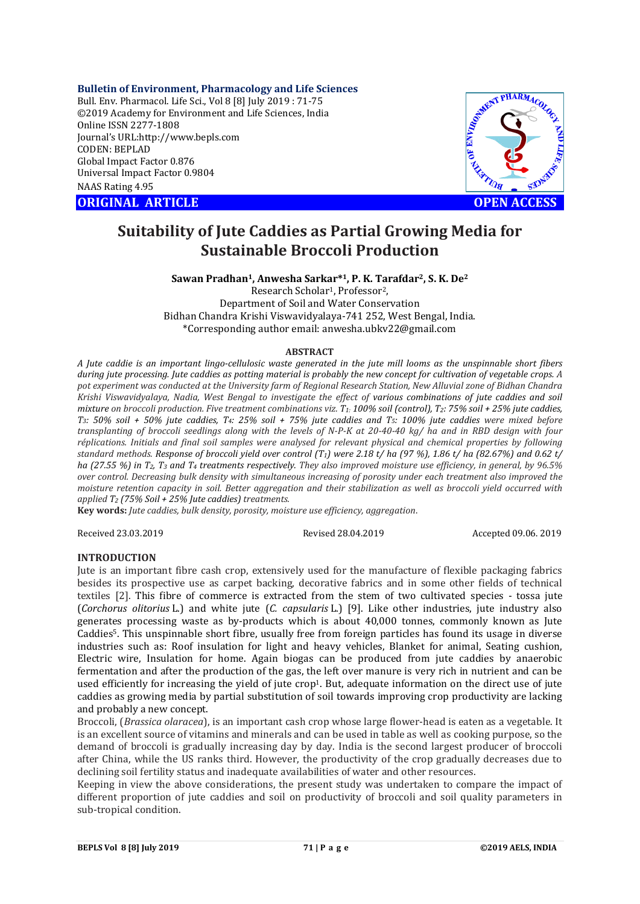## **Bulletin of Environment, Pharmacology and Life Sciences**

Bull. Env. Pharmacol. Life Sci., Vol 8 [8] July 2019 : 71-75 ©2019 Academy for Environment and Life Sciences, India Online ISSN 2277-1808 Journal's URL:http://www.bepls.com CODEN: BEPLAD Global Impact Factor 0.876 Universal Impact Factor 0.9804 NAAS Rating 4.95

**ORIGINAL ARTICLE OPEN ACCESS** 



# **Suitability of Jute Caddies as Partial Growing Media for Sustainable Broccoli Production**

# **Sawan Pradhan1, Anwesha Sarkar\*1, P. K. Tarafdar2, S. K. De2**

Research Scholar1, Professor2, Department of Soil and Water Conservation Bidhan Chandra Krishi Viswavidyalaya-741 252, West Bengal, India. \*Corresponding author email: anwesha.ubkv22@gmail.com

### **ABSTRACT**

*A Jute caddie is an important lingo-cellulosic waste generated in the jute mill looms as the unspinnable short fibers during jute processing. Jute caddies as potting material is probably the new concept for cultivation of vegetable crops. A pot experiment was conducted at the University farm of Regional Research Station, New Alluvial zone of Bidhan Chandra Krishi Viswavidyalaya, Nadia, West Bengal to investigate the effect of various combinations of jute caddies and soil mixture on broccoli production. Five treatment combinations viz. T1: 100% soil (control), T2: 75% soil + 25% jute caddies, T3: 50% soil + 50% jute caddies, T4: 25% soil + 75% jute caddies and T5: 100% jute caddies were mixed before transplanting of broccoli seedlings along with the levels of N-P-K at 20-40-40 kg/ ha and in RBD design with four réplications. Initials and final soil samples were analysed for relevant physical and chemical properties by following standard methods. Response of broccoli yield over control (T1) were 2.18 t/ ha (97 %), 1.86 t/ ha (82.67%) and 0.62 t/ ha (27.55 %) in T2, T3 and T4 treatments respectively. They also improved moisture use efficiency, in general, by 96.5% over control. Decreasing bulk density with simultaneous increasing of porosity under each treatment also improved the moisture retention capacity in soil. Better aggregation and their stabilization as well as broccoli yield occurred with applied T2 (75% Soil + 25% Jute caddies) treatments.*

**Key words:** *Jute caddies, bulk density, porosity, moisture use efficiency, aggregation*.

Received 23.03.2019 Revised 28.04.2019 Accepted 09.06. 2019

# **INTRODUCTION**

Jute is an important fibre cash crop, extensively used for the manufacture of flexible packaging fabrics besides its prospective use as carpet backing, decorative fabrics and in some other fields of technical textiles [2]. This fibre of commerce is extracted from the stem of two cultivated species - tossa jute (*Corchorus olitorius* L.) and white jute (*C. capsularis* L.) [9]. Like other industries, jute industry also generates processing waste as by-products which is about 40,000 tonnes, commonly known as Jute Caddies5. This unspinnable short fibre, usually free from foreign particles has found its usage in diverse industries such as: Roof insulation for light and heavy vehicles, Blanket for animal, Seating cushion, Electric wire, Insulation for home. Again biogas can be produced from jute caddies by anaerobic fermentation and after the production of the gas, the left over manure is very rich in nutrient and can be used efficiently for increasing the yield of jute crop<sup>1</sup>. But, adequate information on the direct use of jute caddies as growing media by partial substitution of soil towards improving crop productivity are lacking and probably a new concept.

Broccoli, (*Brassica olaracea*), is an important cash crop whose large flower-head is eaten as a vegetable. It is an excellent source of vitamins and minerals and can be used in table as well as cooking purpose, so the demand of broccoli is gradually increasing day by day. India is the second largest producer of broccoli after China, while the US ranks third. However, the productivity of the crop gradually decreases due to declining soil fertility status and inadequate availabilities of water and other resources.

Keeping in view the above considerations, the present study was undertaken to compare the impact of different proportion of jute caddies and soil on productivity of broccoli and soil quality parameters in sub-tropical condition.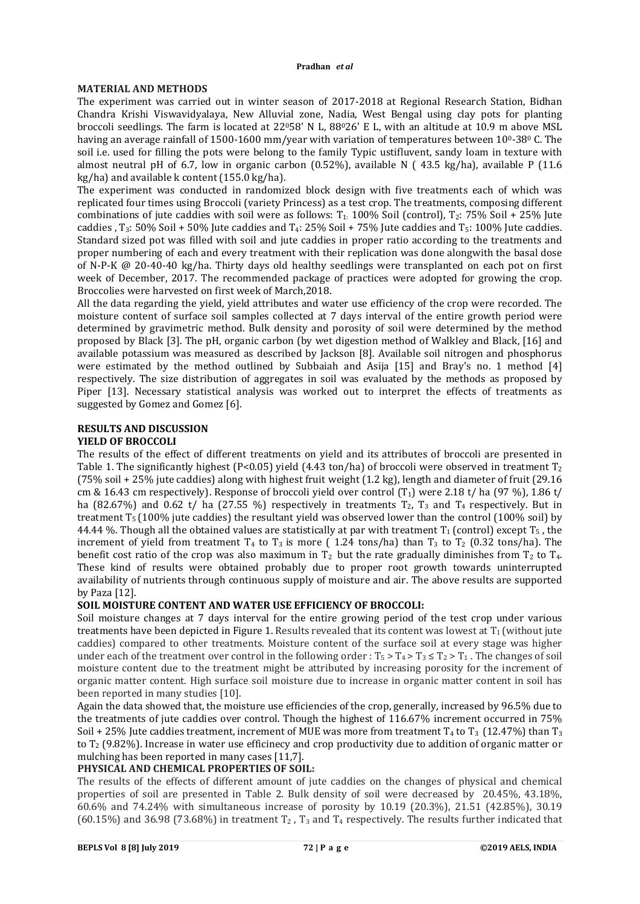# **MATERIAL AND METHODS**

The experiment was carried out in winter season of 2017-2018 at Regional Research Station, Bidhan Chandra Krishi Viswavidyalaya, New Alluvial zone, Nadia, West Bengal using clay pots for planting broccoli seedlings. The farm is located at 22058' N L, 88026' E L, with an altitude at 10.9 m above MSL having an average rainfall of 1500-1600 mm/year with variation of temperatures between  $10^0$ -38 $^0$  C. The soil i.e. used for filling the pots were belong to the family Typic ustifluvent, sandy loam in texture with almost neutral pH of 6.7, low in organic carbon (0.52%), available N ( 43.5 kg/ha), available P (11.6 kg/ha) and available k content (155.0 kg/ha).

The experiment was conducted in randomized block design with five treatments each of which was replicated four times using Broccoli (variety Princess) as a test crop. The treatments, composing different combinations of jute caddies with soil were as follows:  $T_1$ : 100% Soil (control),  $T_2$ : 75% Soil + 25% Jute caddies , T<sub>3</sub>: 50% Soil + 50% Jute caddies and T<sub>4</sub>: 25% Soil + 75% Jute caddies and T<sub>5</sub>: 100% Jute caddies. Standard sized pot was filled with soil and jute caddies in proper ratio according to the treatments and proper numbering of each and every treatment with their replication was done alongwith the basal dose of N-P-K @ 20-40-40 kg/ha. Thirty days old healthy seedlings were transplanted on each pot on first week of December, 2017. The recommended package of practices were adopted for growing the crop. Broccolies were harvested on first week of March,2018.

All the data regarding the yield, yield attributes and water use efficiency of the crop were recorded. The moisture content of surface soil samples collected at 7 days interval of the entire growth period were determined by gravimetric method. Bulk density and porosity of soil were determined by the method proposed by Black [3]. The pH, organic carbon (by wet digestion method of Walkley and Black, [16] and available potassium was measured as described by Jackson [8]. Available soil nitrogen and phosphorus were estimated by the method outlined by Subbaiah and Asija [15] and Bray's no. 1 method [4] respectively. The size distribution of aggregates in soil was evaluated by the methods as proposed by Piper [13]. Necessary statistical analysis was worked out to interpret the effects of treatments as suggested by Gomez and Gomez [6].

### **RESULTS AND DISCUSSION YIELD OF BROCCOLI**

The results of the effect of different treatments on yield and its attributes of broccoli are presented in Table 1. The significantly highest (P<0.05) yield (4.43 ton/ha) of broccoli were observed in treatment  $T_2$ (75% soil + 25% jute caddies) along with highest fruit weight (1.2 kg), length and diameter of fruit (29.16 cm & 16.43 cm respectively). Response of broccoli yield over control  $(T_1)$  were 2.18 t/ ha (97 %), 1.86 t/ ha (82.67%) and 0.62 t/ ha (27.55 %) respectively in treatments  $T_2$ ,  $T_3$  and  $T_4$  respectively. But in treatment  $T_5$  (100% jute caddies) the resultant yield was observed lower than the control (100% soil) by 44.44 %. Though all the obtained values are statistically at par with treatment  $T_1$  (control) except  $T_5$ , the increment of yield from treatment  $T_4$  to  $T_3$  is more ( 1.24 tons/ha) than  $T_3$  to  $T_2$  (0.32 tons/ha). The benefit cost ratio of the crop was also maximum in  $T_2$  but the rate gradually diminishes from  $T_2$  to  $T_4$ . These kind of results were obtained probably due to proper root growth towards uninterrupted availability of nutrients through continuous supply of moisture and air. The above results are supported by Paza [12].

# **SOIL MOISTURE CONTENT AND WATER USE EFFICIENCY OF BROCCOLI:**

Soil moisture changes at 7 days interval for the entire growing period of the test crop under various treatments have been depicted in Figure 1. Results revealed that its content was lowest at  $T_1$  (without jute caddies) compared to other treatments. Moisture content of the surface soil at every stage was higher under each of the treatment over control in the following order :  $T_5 > T_4 > T_3 \le T_2 > T_1$ . The changes of soil moisture content due to the treatment might be attributed by increasing porosity for the increment of organic matter content. High surface soil moisture due to increase in organic matter content in soil has been reported in many studies [10].

Again the data showed that, the moisture use efficiencies of the crop, generally, increased by 96.5% due to the treatments of jute caddies over control. Though the highest of 116.67% increment occurred in 75% Soil + 25% Jute caddies treatment, increment of MUE was more from treatment  $T_4$  to  $T_3$  (12.47%) than  $T_3$ to T2 (9.82%). Increase in water use efficinecy and crop productivity due to addition of organic matter or mulching has been reported in many cases [11,7].

# **PHYSICAL AND CHEMICAL PROPERTIES OF SOIL:**

The results of the effects of different amount of jute caddies on the changes of physical and chemical properties of soil are presented in Table 2. Bulk density of soil were decreased by 20.45%, 43.18%, 60.6% and 74.24% with simultaneous increase of porosity by 10.19 (20.3%), 21.51 (42.85%), 30.19 (60.15%) and 36.98 (73.68%) in treatment  $T_2$ ,  $T_3$  and  $T_4$  respectively. The results further indicated that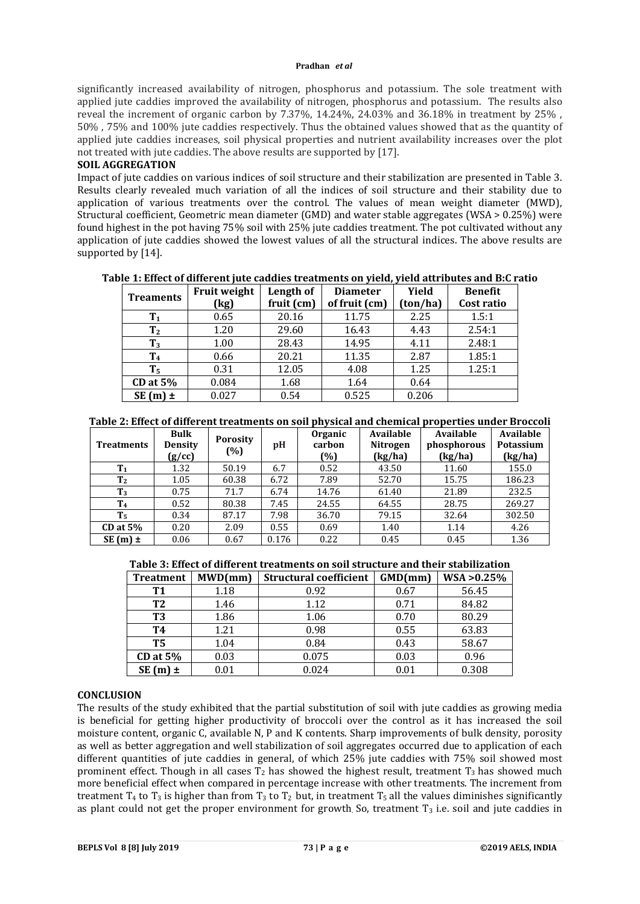#### **Pradhan** *et al*

significantly increased availability of nitrogen, phosphorus and potassium. The sole treatment with applied jute caddies improved the availability of nitrogen, phosphorus and potassium. The results also reveal the increment of organic carbon by 7.37%, 14.24%, 24.03% and 36.18% in treatment by 25% , 50% , 75% and 100% jute caddies respectively. Thus the obtained values showed that as the quantity of applied jute caddies increases, soil physical properties and nutrient availability increases over the plot not treated with jute caddies. The above results are supported by [17].

# **SOIL AGGREGATION**

Impact of jute caddies on various indices of soil structure and their stabilization are presented in Table 3. Results clearly revealed much variation of all the indices of soil structure and their stability due to application of various treatments over the control. The values of mean weight diameter (MWD), Structural coefficient, Geometric mean diameter (GMD) and water stable aggregates (WSA > 0.25%) were found highest in the pot having 75% soil with 25% jute caddies treatment. The pot cultivated without any application of jute caddies showed the lowest values of all the structural indices. The above results are supported by [14].

| <b>Treaments</b> | <b>Fruit weight</b> | Length of  | <b>Diameter</b> | Yield    | <b>Benefit</b> |
|------------------|---------------------|------------|-----------------|----------|----------------|
|                  | (kg)                | fruit (cm) | of fruit (cm)   | (ton/ha) | Cost ratio     |
| $T_1$            | 0.65                | 20.16      | 11.75           | 2.25     | 1.5:1          |
| T <sub>2</sub>   | 1.20                | 29.60      | 16.43           | 4.43     | 2.54:1         |
| $T_3$            | 1.00                | 28.43      | 14.95           | 4.11     | 2.48:1         |
| ${\bf T_4}$      | 0.66                | 20.21      | 11.35           | 2.87     | 1.85:1         |
| T <sub>5</sub>   | 0.31                | 12.05      | 4.08            | 1.25     | 1.25:1         |
| CD at 5%         | 0.084               | 1.68       | 1.64            | 0.64     |                |
| $SE(m) \pm$      | 0.027               | 0.54       | 0.525           | 0.206    |                |

# **Table 1: Effect of different jute caddies treatments on yield, yield attributes and B:C ratio**

## **Table 2: Effect of different treatments on soil physical and chemical properties under Broccoli**

| <b>Treatments</b> | <b>Bulk</b><br><b>Density</b><br>(g/cc) | <b>Porosity</b><br>(%) | pH    | Organic<br>carbon<br>(%) | Available<br><b>Nitrogen</b><br>(kg/ha) | Available<br>phosphorous<br>(kg/ha) | Available<br>Potassium<br>(kg/ha) |
|-------------------|-----------------------------------------|------------------------|-------|--------------------------|-----------------------------------------|-------------------------------------|-----------------------------------|
| T <sub>1</sub>    | 1.32                                    | 50.19                  | 6.7   | 0.52                     | 43.50                                   | 11.60                               | 155.0                             |
| T <sub>2</sub>    | 1.05                                    | 60.38                  | 6.72  | 7.89                     | 52.70                                   | 15.75                               | 186.23                            |
| $T_3$             | 0.75                                    | 71.7                   | 6.74  | 14.76                    | 61.40                                   | 21.89                               | 232.5                             |
| T <sub>4</sub>    | 0.52                                    | 80.38                  | 7.45  | 24.55                    | 64.55                                   | 28.75                               | 269.27                            |
| T <sub>5</sub>    | 0.34                                    | 87.17                  | 7.98  | 36.70                    | 79.15                                   | 32.64                               | 302.50                            |
| CD at $5\%$       | 0.20                                    | 2.09                   | 0.55  | 0.69                     | 1.40                                    | 1.14                                | 4.26                              |
| $SE(m)$ ±         | 0.06                                    | 0.67                   | 0.176 | 0.22                     | 0.45                                    | 0.45                                | 1.36                              |

# **Table 3: Effect of different treatments on soil structure and their stabilization**

| <b>Treatment</b> | MWD/mm | <b>Structural coefficient</b> | GMD(mm) | $WSA > 0.25\%$ |
|------------------|--------|-------------------------------|---------|----------------|
| <b>T1</b>        | 1.18   | 0.92                          | 0.67    | 56.45          |
| T <sub>2</sub>   | 1.46   | 1.12                          | 0.71    | 84.82          |
| T3               | 1.86   | 1.06                          | 0.70    | 80.29          |
| <b>T4</b>        | 1.21   | 0.98                          | 0.55    | 63.83          |
| T5               | 1.04   | 0.84                          | 0.43    | 58.67          |
| <b>CD</b> at 5%  | 0.03   | 0.075                         | 0.03    | 0.96           |
| $SE(m) \pm$      | 0.01   | 0.024                         | 0.01    | 0.308          |

## **CONCLUSION**

The results of the study exhibited that the partial substitution of soil with jute caddies as growing media is beneficial for getting higher productivity of broccoli over the control as it has increased the soil moisture content, organic C, available N, P and K contents. Sharp improvements of bulk density, porosity as well as better aggregation and well stabilization of soil aggregates occurred due to application of each different quantities of jute caddies in general, of which 25% jute caddies with 75% soil showed most prominent effect. Though in all cases  $T_2$  has showed the highest result, treatment  $T_3$  has showed much more beneficial effect when compared in percentage increase with other treatments. The increment from treatment  $T_4$  to  $T_3$  is higher than from  $T_3$  to  $T_2$  but, in treatment  $T_5$  all the values diminishes significantly as plant could not get the proper environment for growth So, treatment  $T_3$  i.e. soil and jute caddies in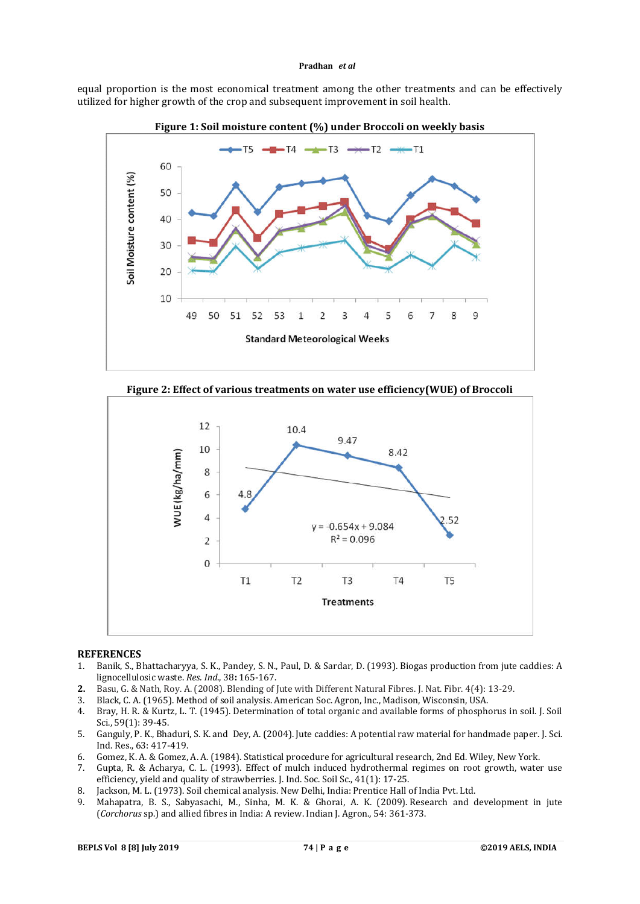#### **Pradhan** *et al*

equal proportion is the most economical treatment among the other treatments and can be effectively utilized for higher growth of the crop and subsequent improvement in soil health.









### **REFERENCES**

- 1. Banik, S., Bhattacharyya, S. K., Pandey, S. N., Paul, D. & Sardar, D. (1993). Biogas production from jute caddies: A lignocellulosic waste. *Res. Ind*., 38**:** 165-167.
- **2.** Basu, G. & Nath, Roy. A. (2008). Blending of Jute with Different Natural Fibres. J. Nat. Fibr. 4(4): 13-29.
- 3. Black, C. A. (1965). Method of soil analysis. American Soc. Agron, Inc., Madison, Wisconsin, USA.
- 4. Bray, H. R. & Kurtz, L. T. (1945). Determination of total organic and available forms of phosphorus in soil. J. Soil Sci., 59(1): 39-45.
- 5. Ganguly, P. K., Bhaduri, S. K. and Dey, A. (2004). Jute caddies: A potential raw material for handmade paper. J. Sci. Ind. Res., 63: 417-419.
- 6. Gomez, K. A. & Gomez, A. A. (1984). Statistical procedure for agricultural research, 2nd Ed. Wiley, New York.
- 7. Gupta, R. & Acharya, C. L. (1993). Effect of mulch induced hydrothermal regimes on root growth, water use efficiency, yield and quality of strawberries. J. Ind. Soc. Soil Sc., 41(1): 17-25.
- 8. Jackson, M. L. (1973). Soil chemical analysis. New Delhi, India: Prentice Hall of India Pvt. Ltd.
- 9. Mahapatra, B. S., Sabyasachi, M., Sinha, M. K. & Ghorai, A. K. (2009). Research and development in jute (*Corchorus* sp.) and allied fibres in India: A review. Indian J. Agron., 54: 361-373.